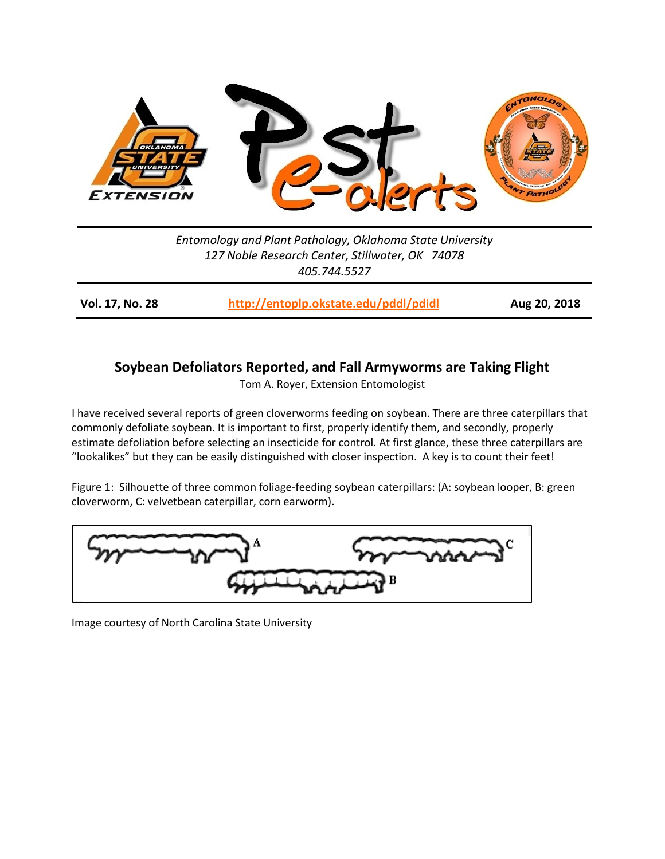

*Entomology and Plant Pathology, Oklahoma State University 127 Noble Research Center, Stillwater, OK 74078 405.744.5527*

**Vol. 17, No. 28 <http://entoplp.okstate.edu/pddl/pdidl> Aug 20, 2018**

## **Soybean Defoliators Reported, and Fall Armyworms are Taking Flight**

Tom A. Royer, Extension Entomologist

I have received several reports of green cloverworms feeding on soybean. There are three caterpillars that commonly defoliate soybean. It is important to first, properly identify them, and secondly, properly estimate defoliation before selecting an insecticide for control. At first glance, these three caterpillars are "lookalikes" but they can be easily distinguished with closer inspection. A key is to count their feet!

Figure 1: Silhouette of three common foliage-feeding soybean caterpillars: (A: soybean looper, B: green cloverworm, C: velvetbean caterpillar, corn earworm).



Image courtesy of North Carolina State University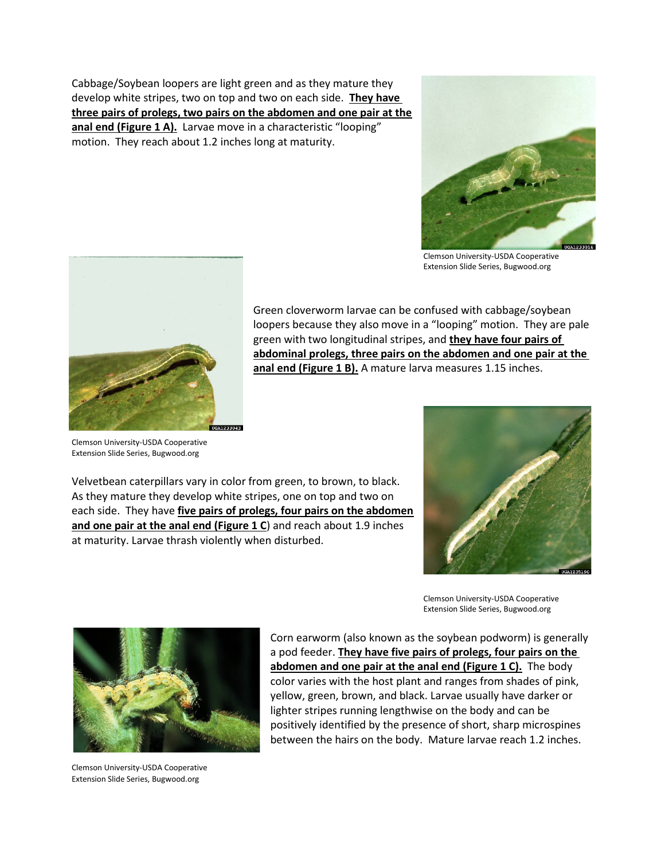Cabbage/Soybean loopers are light green and as they mature they develop white stripes, two on top and two on each side. **They have three pairs of prolegs, two pairs on the abdomen and one pair at the**  anal end (Figure 1 A). Larvae move in a characteristic "looping" motion. They reach about 1.2 inches long at maturity.



Clemson University-USDA Cooperative Extension Slide Series, Bugwood.org



Green cloverworm larvae can be confused with cabbage/soybean loopers because they also move in a "looping" motion. They are pale green with two longitudinal stripes, and **they have four pairs of abdominal prolegs, three pairs on the abdomen and one pair at the anal end (Figure 1 B).** A mature larva measures 1.15 inches.

Clemson University-USDA Cooperative Extension Slide Series, Bugwood.org

Velvetbean caterpillars vary in color from green, to brown, to black. As they mature they develop white stripes, one on top and two on each side. They have **five pairs of prolegs, four pairs on the abdomen and one pair at the anal end (Figure 1 C**) and reach about 1.9 inches at maturity. Larvae thrash violently when disturbed.



Clemson University-USDA Cooperative Extension Slide Series, Bugwood.org



Clemson University-USDA Cooperative Extension Slide Series, Bugwood.org

Corn earworm (also known as the soybean podworm) is generally a pod feeder. **They have five pairs of prolegs, four pairs on the abdomen and one pair at the anal end (Figure 1 C).** The body color varies with the host plant and ranges from shades of pink, yellow, green, brown, and black. Larvae usually have darker or lighter stripes running lengthwise on the body and can be positively identified by the presence of short, sharp microspines between the hairs on the body. Mature larvae reach 1.2 inches.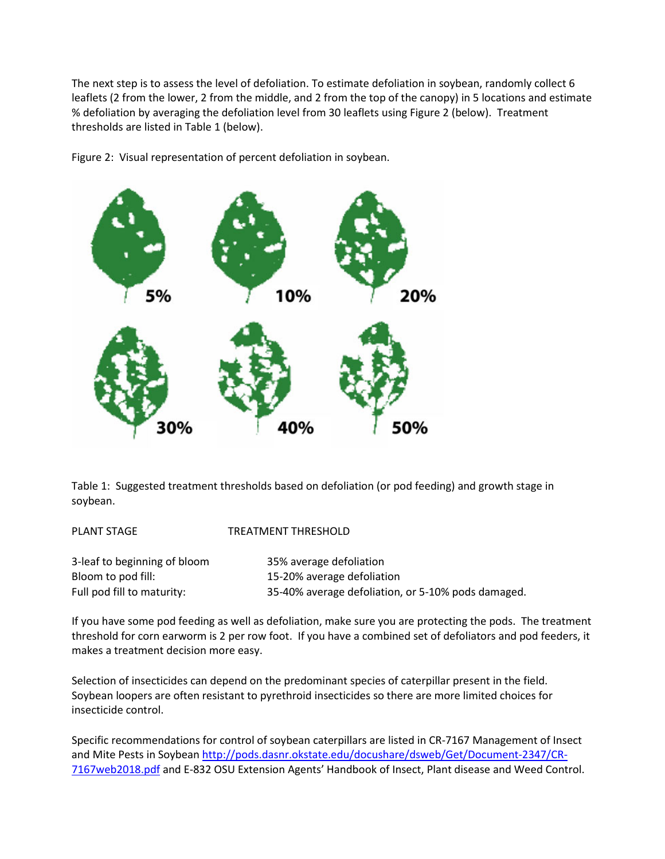The next step is to assess the level of defoliation. To estimate defoliation in soybean, randomly collect 6 leaflets (2 from the lower, 2 from the middle, and 2 from the top of the canopy) in 5 locations and estimate % defoliation by averaging the defoliation level from 30 leaflets using Figure 2 (below). Treatment thresholds are listed in Table 1 (below).





Table 1: Suggested treatment thresholds based on defoliation (or pod feeding) and growth stage in soybean.

| <b>PLANT STAGE</b>           | TREATMENT THRESHOLD                                |
|------------------------------|----------------------------------------------------|
| 3-leaf to beginning of bloom | 35% average defoliation                            |
| Bloom to pod fill:           | 15-20% average defoliation                         |
| Full pod fill to maturity:   | 35-40% average defoliation, or 5-10% pods damaged. |

If you have some pod feeding as well as defoliation, make sure you are protecting the pods. The treatment threshold for corn earworm is 2 per row foot. If you have a combined set of defoliators and pod feeders, it makes a treatment decision more easy.

Selection of insecticides can depend on the predominant species of caterpillar present in the field. Soybean loopers are often resistant to pyrethroid insecticides so there are more limited choices for insecticide control.

Specific recommendations for control of soybean caterpillars are listed in CR-7167 Management of Insect and Mite Pests in Soybean http://pods.dasnr.okstate.edu/docushare/dsweb/Get/Document-2347/CR-7167web2018.pdf and E-832 OSU Extension Agents' Handbook of Insect, Plant disease and Weed Control.